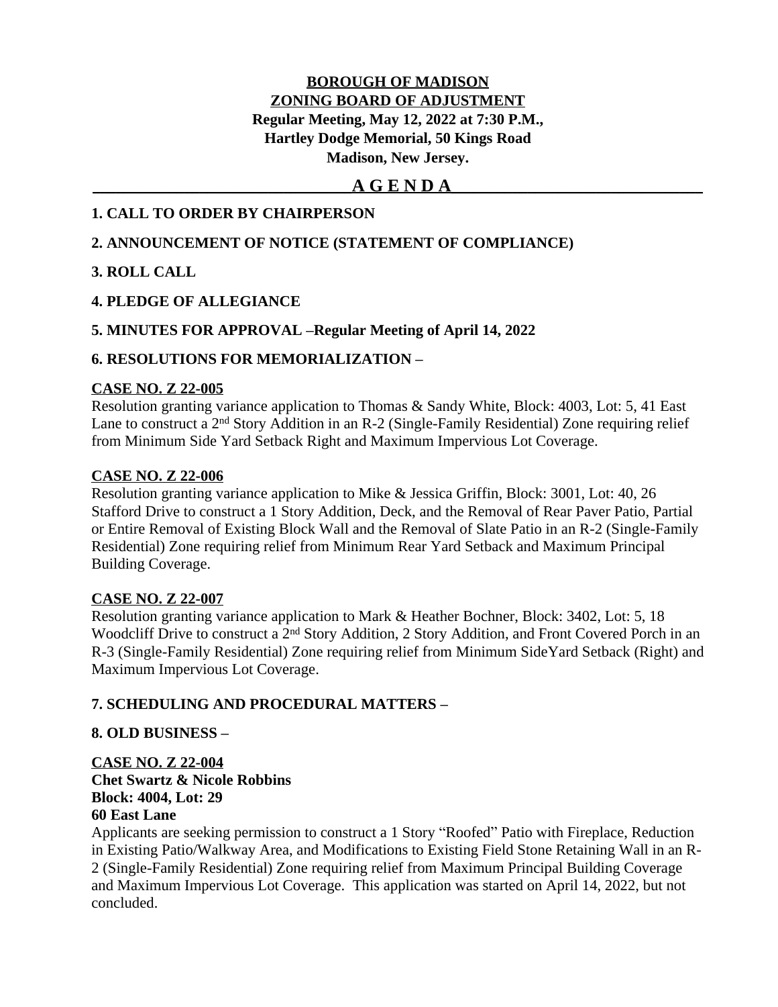# **BOROUGH OF MADISON ZONING BOARD OF ADJUSTMENT Regular Meeting, May 12, 2022 at 7:30 P.M., Hartley Dodge Memorial, 50 Kings Road Madison, New Jersey.**

# **\_\_\_\_\_\_\_\_\_\_\_\_\_\_\_\_\_\_\_\_\_\_\_\_\_\_\_\_\_\_\_\_\_\_A G E N D A\_\_\_\_\_\_\_\_\_\_\_\_\_\_\_\_\_\_\_\_\_\_\_\_\_\_\_\_\_\_\_\_\_**

### **1. CALL TO ORDER BY CHAIRPERSON**

### **2. ANNOUNCEMENT OF NOTICE (STATEMENT OF COMPLIANCE)**

### **3. ROLL CALL**

# **4. PLEDGE OF ALLEGIANCE**

### **5. MINUTES FOR APPROVAL –Regular Meeting of April 14, 2022**

### **6. RESOLUTIONS FOR MEMORIALIZATION –**

#### **CASE NO. Z 22-005**

Resolution granting variance application to Thomas & Sandy White, Block: 4003, Lot: 5, 41 East Lane to construct a 2nd Story Addition in an R-2 (Single-Family Residential) Zone requiring relief from Minimum Side Yard Setback Right and Maximum Impervious Lot Coverage.

### **CASE NO. Z 22-006**

Resolution granting variance application to Mike & Jessica Griffin, Block: 3001, Lot: 40, 26 Stafford Drive to construct a 1 Story Addition, Deck, and the Removal of Rear Paver Patio, Partial or Entire Removal of Existing Block Wall and the Removal of Slate Patio in an R-2 (Single-Family Residential) Zone requiring relief from Minimum Rear Yard Setback and Maximum Principal Building Coverage.

### **CASE NO. Z 22-007**

Resolution granting variance application to Mark & Heather Bochner, Block: 3402, Lot: 5, 18 Woodcliff Drive to construct a 2<sup>nd</sup> Story Addition, 2 Story Addition, and Front Covered Porch in an R-3 (Single-Family Residential) Zone requiring relief from Minimum SideYard Setback (Right) and Maximum Impervious Lot Coverage.

### **7. SCHEDULING AND PROCEDURAL MATTERS –**

### **8. OLD BUSINESS –**

**CASE NO. Z 22-004 Chet Swartz & Nicole Robbins Block: 4004, Lot: 29 60 East Lane**

Applicants are seeking permission to construct a 1 Story "Roofed" Patio with Fireplace, Reduction in Existing Patio/Walkway Area, and Modifications to Existing Field Stone Retaining Wall in an R-2 (Single-Family Residential) Zone requiring relief from Maximum Principal Building Coverage and Maximum Impervious Lot Coverage. This application was started on April 14, 2022, but not concluded.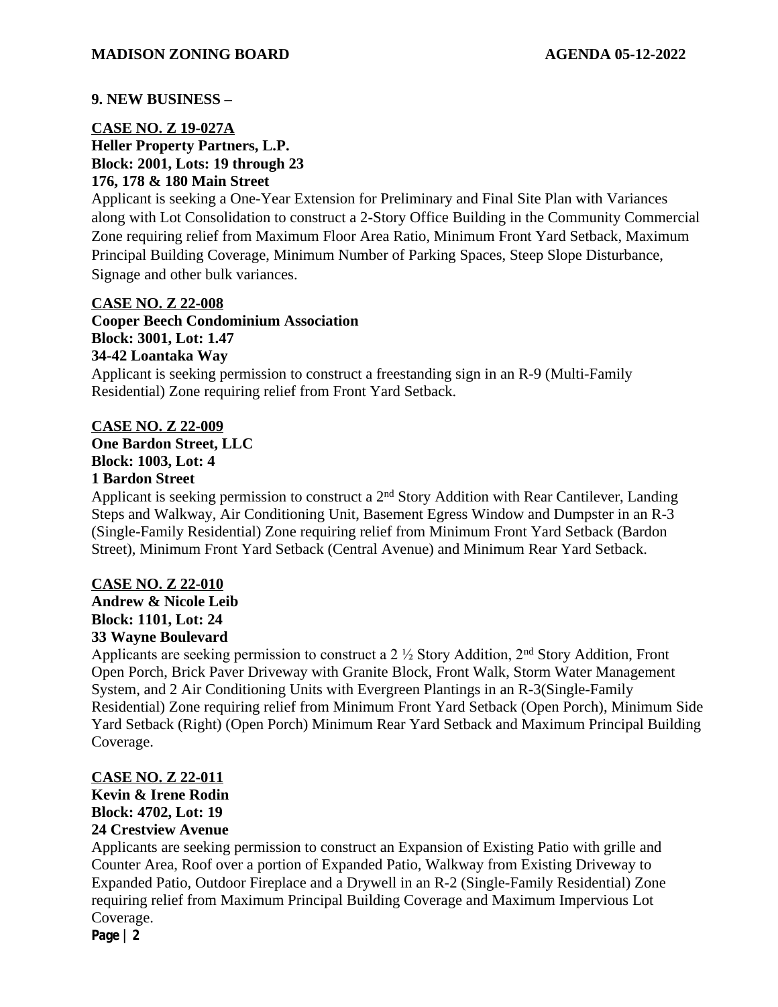#### **9. NEW BUSINESS –**

### **CASE NO. Z 19-027A Heller Property Partners, L.P. Block: 2001, Lots: 19 through 23 176, 178 & 180 Main Street**

Applicant is seeking a One-Year Extension for Preliminary and Final Site Plan with Variances along with Lot Consolidation to construct a 2-Story Office Building in the Community Commercial Zone requiring relief from Maximum Floor Area Ratio, Minimum Front Yard Setback, Maximum Principal Building Coverage, Minimum Number of Parking Spaces, Steep Slope Disturbance, Signage and other bulk variances.

#### **CASE NO. Z 22-008**

**Cooper Beech Condominium Association Block: 3001, Lot: 1.47 34-42 Loantaka Way** Applicant is seeking permission to construct a freestanding sign in an R-9 (Multi-Family Residential) Zone requiring relief from Front Yard Setback.

#### **CASE NO. Z 22-009**

**One Bardon Street, LLC Block: 1003, Lot: 4**

#### **1 Bardon Street**

Applicant is seeking permission to construct a  $2<sup>nd</sup>$  Story Addition with Rear Cantilever, Landing Steps and Walkway, Air Conditioning Unit, Basement Egress Window and Dumpster in an R-3 (Single-Family Residential) Zone requiring relief from Minimum Front Yard Setback (Bardon Street), Minimum Front Yard Setback (Central Avenue) and Minimum Rear Yard Setback.

### **CASE NO. Z 22-010**

**Andrew & Nicole Leib Block: 1101, Lot: 24 33 Wayne Boulevard**

Applicants are seeking permission to construct a 2 ½ Story Addition, 2nd Story Addition, Front Open Porch, Brick Paver Driveway with Granite Block, Front Walk, Storm Water Management System, and 2 Air Conditioning Units with Evergreen Plantings in an R-3(Single-Family Residential) Zone requiring relief from Minimum Front Yard Setback (Open Porch), Minimum Side Yard Setback (Right) (Open Porch) Minimum Rear Yard Setback and Maximum Principal Building Coverage.

### **CASE NO. Z 22-011**

**Kevin & Irene Rodin Block: 4702, Lot: 19**

# **24 Crestview Avenue**

Applicants are seeking permission to construct an Expansion of Existing Patio with grille and Counter Area, Roof over a portion of Expanded Patio, Walkway from Existing Driveway to Expanded Patio, Outdoor Fireplace and a Drywell in an R-2 (Single-Family Residential) Zone requiring relief from Maximum Principal Building Coverage and Maximum Impervious Lot Coverage.

**Page | 2**